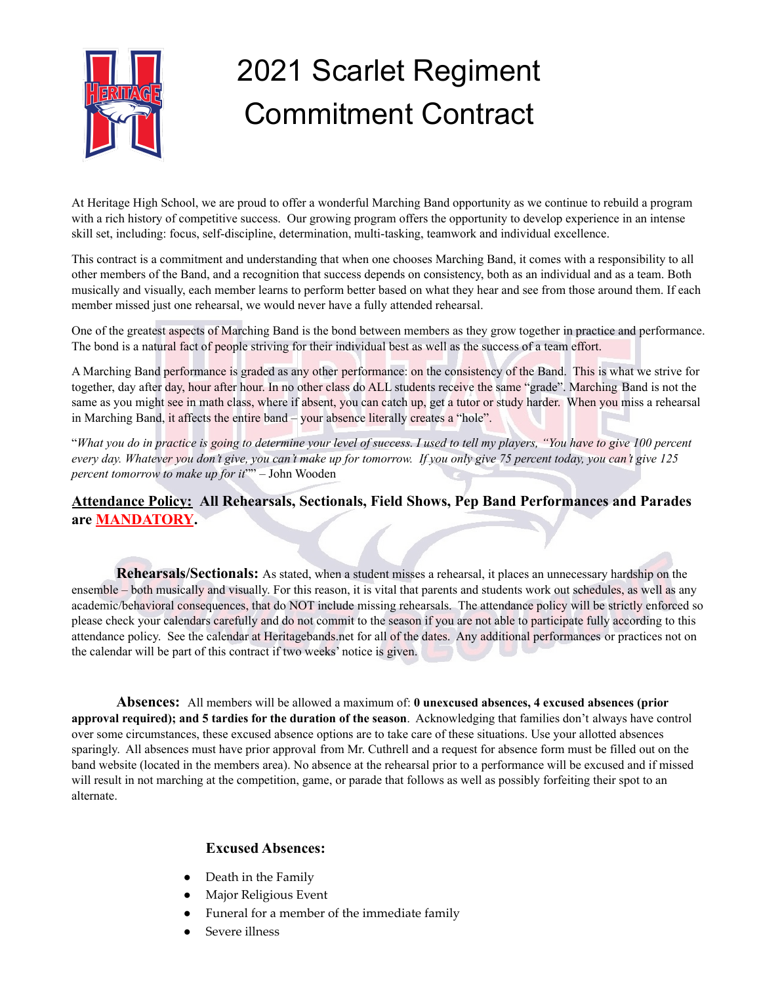

## 2021 Scarlet Regiment Commitment Contract

At Heritage High School, we are proud to offer a wonderful Marching Band opportunity as we continue to rebuild a program with a rich history of competitive success. Our growing program offers the opportunity to develop experience in an intense skill set, including: focus, self-discipline, determination, multi-tasking, teamwork and individual excellence.

This contract is a commitment and understanding that when one chooses Marching Band, it comes with a responsibility to all other members of the Band, and a recognition that success depends on consistency, both as an individual and as a team. Both musically and visually, each member learns to perform better based on what they hear and see from those around them. If each member missed just one rehearsal, we would never have a fully attended rehearsal.

One of the greatest aspects of Marching Band is the bond between members as they grow together in practice and performance. The bond is a natural fact of people striving for their individual best as well as the success of a team effort.

A Marching Band performance is graded as any other performance: on the consistency of the Band. This is what we strive for together, day after day, hour after hour. In no other class do ALL students receive the same "grade". Marching Band is not the same as you might see in math class, where if absent, you can catch up, get a tutor or study harder. When you miss a rehearsal in Marching Band, it affects the entire band – your absence literally creates a "hole".

"What you do in practice is going to determine your level of success. I used to tell my players, "You have to give 100 percent every day. Whatever you don't give, you can't make up for tomorrow. If you only give 75 percent today, you can't give 125 *percent tomorrow to make up for it*"" – John Wooden

**Attendance Policy: All Rehearsals, Sectionals, Field Shows, Pep Band Performances and Parades are MANDATORY.**

**Rehearsals/Sectionals:** As stated, when a student misses a rehearsal, it places an unnecessary hardship on the ensemble – both musically and visually. For this reason, it is vital that parents and students work out schedules, as well as any academic/behavioral consequences, that do NOT include missing rehearsals. The attendance policy will be strictly enforced so please check your calendars carefully and do not commit to the season if you are not able to participate fully according to this attendance policy. See the calendar at Heritagebands.net for all of the dates. Any additional performances or practices not on the calendar will be part of this contract if two weeks' notice is given.

**Absences:** All members will be allowed a maximum of: **0 unexcused absences, 4 excused absences (prior approval required); and 5 tardies for the duration of the season**. Acknowledging that families don't always have control over some circumstances, these excused absence options are to take care of these situations. Use your allotted absences sparingly. All absences must have prior approval from Mr. Cuthrell and a request for absence form must be filled out on the band website (located in the members area). No absence at the rehearsal prior to a performance will be excused and if missed will result in not marching at the competition, game, or parade that follows as well as possibly forfeiting their spot to an alternate.

## **Excused Absences:**

- Death in the Family
- Major Religious Event
- Funeral for a member of the immediate family
- Severe illness